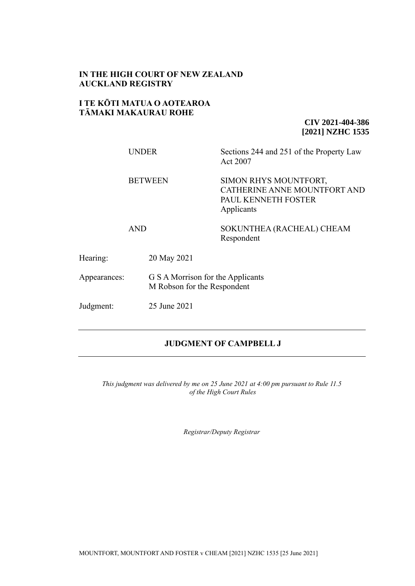## **IN THE HIGH COURT OF NEW ZEALAND AUCKLAND REGISTRY**

## **I TE KŌTI MATUA O AOTEAROA TĀMAKI MAKAURAU ROHE**

**CIV 2021-404-386 [2021] NZHC 1535**

|              | <b>UNDER</b>   | Sections 244 and 251 of the Property Law<br>Act 2007                                       |  |
|--------------|----------------|--------------------------------------------------------------------------------------------|--|
|              | <b>BETWEEN</b> | SIMON RHYS MOUNTFORT,<br>CATHERINE ANNE MOUNTFORT AND<br>PAUL KENNETH FOSTER<br>Applicants |  |
|              | <b>AND</b>     | SOKUNTHEA (RACHEAL) CHEAM<br>Respondent                                                    |  |
| Hearing:     | 20 May 2021    |                                                                                            |  |
| Appearances: |                | G S A Morrison for the Applicants<br>M Robson for the Respondent                           |  |

Judgment: 25 June 2021

# **JUDGMENT OF CAMPBELL J**

*This judgment was delivered by me on 25 June 2021 at 4:00 pm pursuant to Rule 11.5 of the High Court Rules*

*Registrar/Deputy Registrar*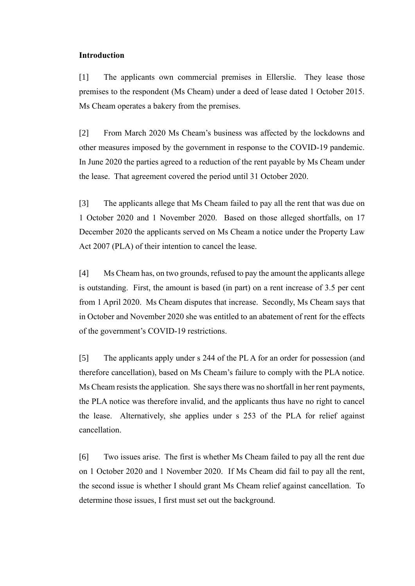#### **Introduction**

[1] The applicants own commercial premises in Ellerslie. They lease those premises to the respondent (Ms Cheam) under a deed of lease dated 1 October 2015. Ms Cheam operates a bakery from the premises.

[2] From March 2020 Ms Cheam's business was affected by the lockdowns and other measures imposed by the government in response to the COVID-19 pandemic. In June 2020 the parties agreed to a reduction of the rent payable by Ms Cheam under the lease. That agreement covered the period until 31 October 2020.

[3] The applicants allege that Ms Cheam failed to pay all the rent that was due on 1 October 2020 and 1 November 2020. Based on those alleged shortfalls, on 17 December 2020 the applicants served on Ms Cheam a notice under the Property Law Act 2007 (PLA) of their intention to cancel the lease.

[4] Ms Cheam has, on two grounds, refused to pay the amount the applicants allege is outstanding. First, the amount is based (in part) on a rent increase of 3.5 per cent from 1 April 2020. Ms Cheam disputes that increase. Secondly, Ms Cheam says that in October and November 2020 she was entitled to an abatement of rent for the effects of the government's COVID-19 restrictions.

[5] The applicants apply under s 244 of the PL A for an order for possession (and therefore cancellation), based on Ms Cheam's failure to comply with the PLA notice. Ms Cheam resists the application. She saysthere was no shortfall in her rent payments, the PLA notice was therefore invalid, and the applicants thus have no right to cancel the lease. Alternatively, she applies under s 253 of the PLA for relief against cancellation.

[6] Two issues arise. The first is whether Ms Cheam failed to pay all the rent due on 1 October 2020 and 1 November 2020. If Ms Cheam did fail to pay all the rent, the second issue is whether I should grant Ms Cheam relief against cancellation. To determine those issues, I first must set out the background.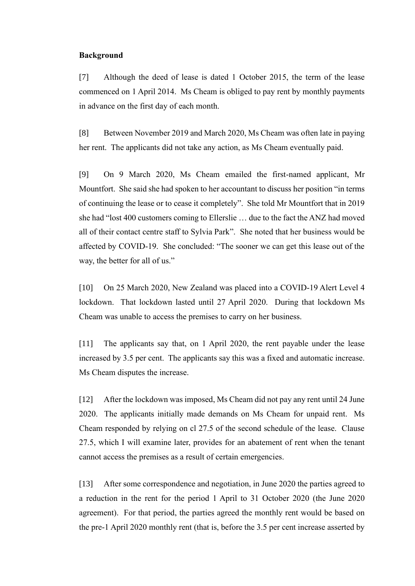### **Background**

[7] Although the deed of lease is dated 1 October 2015, the term of the lease commenced on 1 April 2014. Ms Cheam is obliged to pay rent by monthly payments in advance on the first day of each month.

[8] Between November 2019 and March 2020, Ms Cheam was often late in paying her rent. The applicants did not take any action, as Ms Cheam eventually paid.

[9] On 9 March 2020, Ms Cheam emailed the first-named applicant, Mr Mountfort. She said she had spoken to her accountant to discuss her position "in terms of continuing the lease or to cease it completely". She told Mr Mountfort that in 2019 she had "lost 400 customers coming to Ellerslie … due to the fact the ANZ had moved all of their contact centre staff to Sylvia Park". She noted that her business would be affected by COVID-19. She concluded: "The sooner we can get this lease out of the way, the better for all of us."

[10] On 25 March 2020, New Zealand was placed into a COVID-19 Alert Level 4 lockdown. That lockdown lasted until 27 April 2020. During that lockdown Ms Cheam was unable to access the premises to carry on her business.

[11] The applicants say that, on 1 April 2020, the rent payable under the lease increased by 3.5 per cent. The applicants say this was a fixed and automatic increase. Ms Cheam disputes the increase.

[12] After the lockdown was imposed, Ms Cheam did not pay any rent until 24 June 2020. The applicants initially made demands on Ms Cheam for unpaid rent. Ms Cheam responded by relying on cl 27.5 of the second schedule of the lease. Clause 27.5, which I will examine later, provides for an abatement of rent when the tenant cannot access the premises as a result of certain emergencies.

[13] After some correspondence and negotiation, in June 2020 the parties agreed to a reduction in the rent for the period 1 April to 31 October 2020 (the June 2020 agreement). For that period, the parties agreed the monthly rent would be based on the pre-1 April 2020 monthly rent (that is, before the 3.5 per cent increase asserted by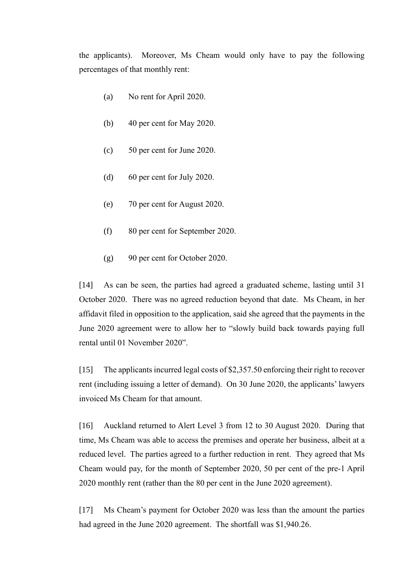the applicants). Moreover, Ms Cheam would only have to pay the following percentages of that monthly rent:

- (a) No rent for April 2020.
- (b) 40 per cent for May 2020.
- (c) 50 per cent for June 2020.
- (d) 60 per cent for July 2020.
- (e) 70 per cent for August 2020.
- (f) 80 per cent for September 2020.
- (g) 90 per cent for October 2020.

[14] As can be seen, the parties had agreed a graduated scheme, lasting until 31 October 2020. There was no agreed reduction beyond that date. Ms Cheam, in her affidavit filed in opposition to the application, said she agreed that the payments in the June 2020 agreement were to allow her to "slowly build back towards paying full rental until 01 November 2020".

[15] The applicants incurred legal costs of \$2,357.50 enforcing their right to recover rent (including issuing a letter of demand). On 30 June 2020, the applicants' lawyers invoiced Ms Cheam for that amount.

[16] Auckland returned to Alert Level 3 from 12 to 30 August 2020. During that time, Ms Cheam was able to access the premises and operate her business, albeit at a reduced level. The parties agreed to a further reduction in rent. They agreed that Ms Cheam would pay, for the month of September 2020, 50 per cent of the pre-1 April 2020 monthly rent (rather than the 80 per cent in the June 2020 agreement).

[17] Ms Cheam's payment for October 2020 was less than the amount the parties had agreed in the June 2020 agreement. The shortfall was \$1,940.26.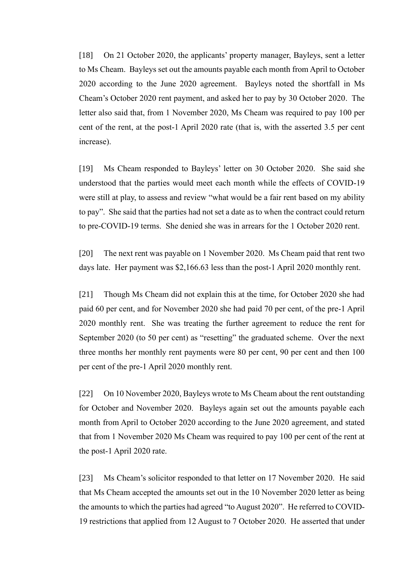[18] On 21 October 2020, the applicants' property manager, Bayleys, sent a letter to Ms Cheam. Bayleys set out the amounts payable each month from April to October 2020 according to the June 2020 agreement. Bayleys noted the shortfall in Ms Cheam's October 2020 rent payment, and asked her to pay by 30 October 2020. The letter also said that, from 1 November 2020, Ms Cheam was required to pay 100 per cent of the rent, at the post-1 April 2020 rate (that is, with the asserted 3.5 per cent increase).

[19] Ms Cheam responded to Bayleys' letter on 30 October 2020. She said she understood that the parties would meet each month while the effects of COVID-19 were still at play, to assess and review "what would be a fair rent based on my ability to pay". She said that the parties had not set a date as to when the contract could return to pre-COVID-19 terms. She denied she was in arrears for the 1 October 2020 rent.

[20] The next rent was payable on 1 November 2020. Ms Cheam paid that rent two days late. Her payment was \$2,166.63 less than the post-1 April 2020 monthly rent.

[21] Though Ms Cheam did not explain this at the time, for October 2020 she had paid 60 per cent, and for November 2020 she had paid 70 per cent, of the pre-1 April 2020 monthly rent. She was treating the further agreement to reduce the rent for September 2020 (to 50 per cent) as "resetting" the graduated scheme. Over the next three months her monthly rent payments were 80 per cent, 90 per cent and then 100 per cent of the pre-1 April 2020 monthly rent.

[22] On 10 November 2020, Bayleys wrote to Ms Cheam about the rent outstanding for October and November 2020. Bayleys again set out the amounts payable each month from April to October 2020 according to the June 2020 agreement, and stated that from 1 November 2020 Ms Cheam was required to pay 100 per cent of the rent at the post-1 April 2020 rate.

[23] Ms Cheam's solicitor responded to that letter on 17 November 2020. He said that Ms Cheam accepted the amounts set out in the 10 November 2020 letter as being the amounts to which the parties had agreed "to August 2020". He referred to COVID-19 restrictions that applied from 12 August to 7 October 2020. He asserted that under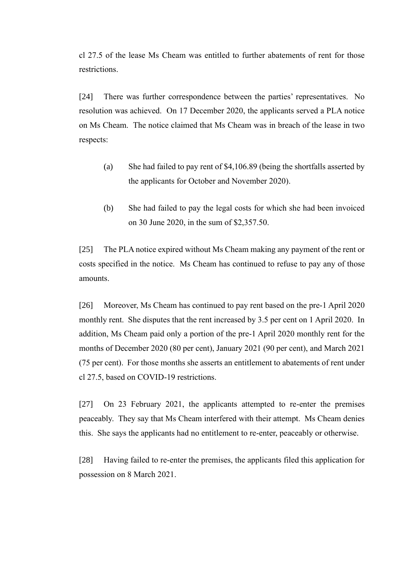cl 27.5 of the lease Ms Cheam was entitled to further abatements of rent for those restrictions.

[24] There was further correspondence between the parties' representatives. No resolution was achieved. On 17 December 2020, the applicants served a PLA notice on Ms Cheam. The notice claimed that Ms Cheam was in breach of the lease in two respects:

- (a) She had failed to pay rent of \$4,106.89 (being the shortfalls asserted by the applicants for October and November 2020).
- (b) She had failed to pay the legal costs for which she had been invoiced on 30 June 2020, in the sum of \$2,357.50.

[25] The PLA notice expired without Ms Cheam making any payment of the rent or costs specified in the notice. Ms Cheam has continued to refuse to pay any of those amounts.

[26] Moreover, Ms Cheam has continued to pay rent based on the pre-1 April 2020 monthly rent. She disputes that the rent increased by 3.5 per cent on 1 April 2020. In addition, Ms Cheam paid only a portion of the pre-1 April 2020 monthly rent for the months of December 2020 (80 per cent), January 2021 (90 per cent), and March 2021 (75 per cent). For those months she asserts an entitlement to abatements of rent under cl 27.5, based on COVID-19 restrictions.

[27] On 23 February 2021, the applicants attempted to re-enter the premises peaceably. They say that Ms Cheam interfered with their attempt. Ms Cheam denies this. She says the applicants had no entitlement to re-enter, peaceably or otherwise.

[28] Having failed to re-enter the premises, the applicants filed this application for possession on 8 March 2021.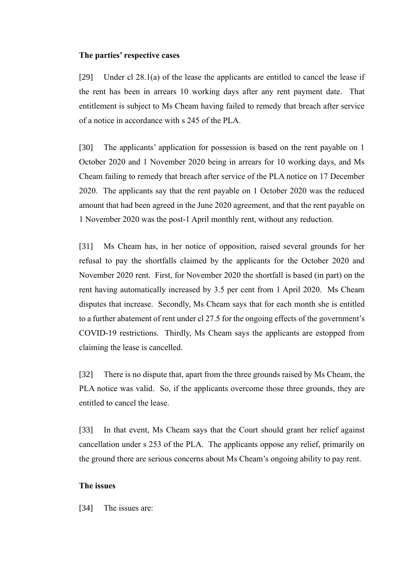#### **The parties' respective cases**

[29] Under cl 28.1(a) of the lease the applicants are entitled to cancel the lease if the rent has been in arrears 10 working days after any rent payment date. That entitlement is subject to Ms Cheam having failed to remedy that breach after service of a notice in accordance with s 245 of the PLA.

[30] The applicants' application for possession is based on the rent payable on 1 October 2020 and 1 November 2020 being in arrears for 10 working days, and Ms Cheam failing to remedy that breach after service of the PLA notice on 17 December 2020. The applicants say that the rent payable on 1 October 2020 was the reduced amount that had been agreed in the June 2020 agreement, and that the rent payable on 1 November 2020 was the post-1 April monthly rent, without any reduction.

[31] Ms Cheam has, in her notice of opposition, raised several grounds for her refusal to pay the shortfalls claimed by the applicants for the October 2020 and November 2020 rent. First, for November 2020 the shortfall is based (in part) on the rent having automatically increased by 3.5 per cent from 1 April 2020. Ms Cheam disputes that increase. Secondly, Ms Cheam says that for each month she is entitled to a further abatement of rent under cl 27.5 for the ongoing effects of the government's COVID-19 restrictions. Thirdly, Ms Cheam says the applicants are estopped from claiming the lease is cancelled.

[32] There is no dispute that, apart from the three grounds raised by Ms Cheam, the PLA notice was valid. So, if the applicants overcome those three grounds, they are entitled to cancel the lease.

[33] In that event, Ms Cheam says that the Court should grant her relief against cancellation under s 253 of the PLA. The applicants oppose any relief, primarily on the ground there are serious concerns about Ms Cheam's ongoing ability to pay rent.

## **The issues**

[34] The issues are: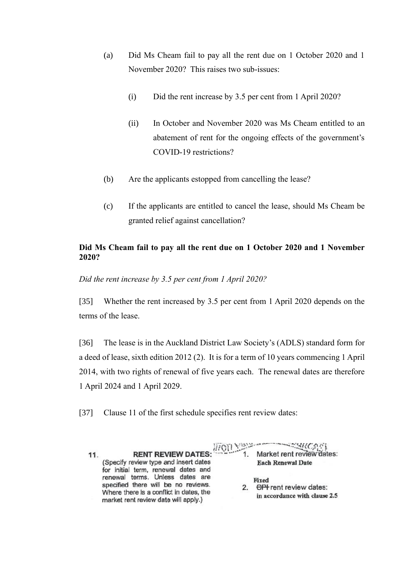- (a) Did Ms Cheam fail to pay all the rent due on 1 October 2020 and 1 November 2020? This raises two sub-issues:
	- (i) Did the rent increase by 3.5 per cent from 1 April 2020?
	- (ii) In October and November 2020 was Ms Cheam entitled to an abatement of rent for the ongoing effects of the government's COVID-19 restrictions?
- (b) Are the applicants estopped from cancelling the lease?
- (c) If the applicants are entitled to cancel the lease, should Ms Cheam be granted relief against cancellation?

# **Did Ms Cheam fail to pay all the rent due on 1 October 2020 and 1 November 2020?**

*Did the rent increase by 3.5 per cent from 1 April 2020?*

[35] Whether the rent increased by 3.5 per cent from 1 April 2020 depends on the terms of the lease.

[36] The lease is in the Auckland District Law Society's (ADLS) standard form for a deed of lease, sixth edition 2012 (2). It is for a term of 10 years commencing 1 April 2014, with two rights of renewal of five years each. The renewal dates are therefore 1 April 2024 and 1 April 2029.

[37] Clause 11 of the first schedule specifies rent review dates:

| 11. | <b>RENT REVIEW DATES:</b> ///(0)<br>(Specify review type and insert dates<br>for initial term, renewal dates and                                          | Market rent review dates:<br><b>Each Renewal Date</b>            |
|-----|-----------------------------------------------------------------------------------------------------------------------------------------------------------|------------------------------------------------------------------|
|     | renewal terms. Unless dates are<br>specified there will be no reviews.<br>Where there is a conflict in dates, the<br>market rent review date will apply.) | Fixed<br>CPI rent review dates:<br>in accordance with clause 2.5 |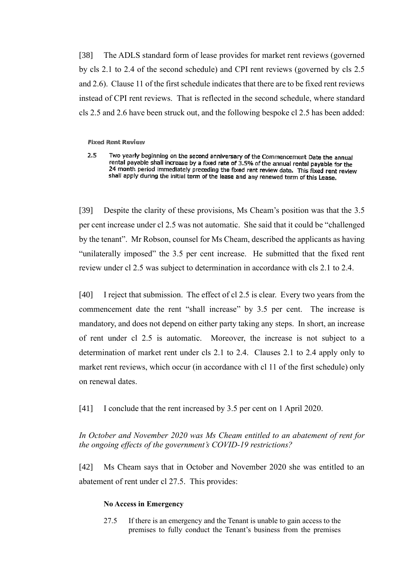[38] The ADLS standard form of lease provides for market rent reviews (governed by cls 2.1 to 2.4 of the second schedule) and CPI rent reviews (governed by cls 2.5 and 2.6). Clause 11 of the first schedule indicates that there are to be fixed rent reviews instead of CPI rent reviews. That is reflected in the second schedule, where standard cls 2.5 and 2.6 have been struck out, and the following bespoke cl 2.5 has been added:

**Fixed Rent Review** 

 $2.5$ Two yearly beginning on the second anniversary of the Commencement Date the annual rental payable shall increase by a fixed rate of 3.5% of the annual rental payable for the 24 month period immediately preceding the fixed rent review date. This fixed rent review shall apply during the initial term of the lease and any renewed term of this Lease.

[39] Despite the clarity of these provisions, Ms Cheam's position was that the 3.5 per cent increase under cl 2.5 was not automatic. She said that it could be "challenged by the tenant". Mr Robson, counsel for Ms Cheam, described the applicants as having "unilaterally imposed" the 3.5 per cent increase. He submitted that the fixed rent review under cl 2.5 was subject to determination in accordance with cls 2.1 to 2.4.

[40] I reject that submission. The effect of cl 2.5 is clear. Every two years from the commencement date the rent "shall increase" by 3.5 per cent. The increase is mandatory, and does not depend on either party taking any steps. In short, an increase of rent under cl 2.5 is automatic. Moreover, the increase is not subject to a determination of market rent under cls 2.1 to 2.4. Clauses 2.1 to 2.4 apply only to market rent reviews, which occur (in accordance with cl 11 of the first schedule) only on renewal dates.

[41] I conclude that the rent increased by 3.5 per cent on 1 April 2020.

*In October and November 2020 was Ms Cheam entitled to an abatement of rent for the ongoing effects of the government's COVID-19 restrictions?*

[42] Ms Cheam says that in October and November 2020 she was entitled to an abatement of rent under cl 27.5. This provides:

#### **No Access in Emergency**

27.5 If there is an emergency and the Tenant is unable to gain access to the premises to fully conduct the Tenant's business from the premises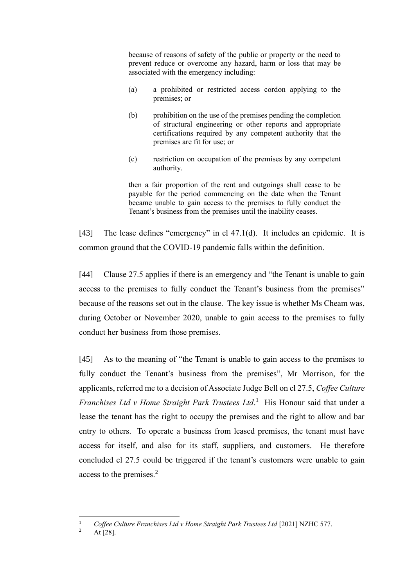because of reasons of safety of the public or property or the need to prevent reduce or overcome any hazard, harm or loss that may be associated with the emergency including:

- (a) a prohibited or restricted access cordon applying to the premises; or
- (b) prohibition on the use of the premises pending the completion of structural engineering or other reports and appropriate certifications required by any competent authority that the premises are fit for use; or
- (c) restriction on occupation of the premises by any competent authority.

then a fair proportion of the rent and outgoings shall cease to be payable for the period commencing on the date when the Tenant became unable to gain access to the premises to fully conduct the Tenant's business from the premises until the inability ceases.

[43] The lease defines "emergency" in cl 47.1(d). It includes an epidemic. It is common ground that the COVID-19 pandemic falls within the definition.

[44] Clause 27.5 applies if there is an emergency and "the Tenant is unable to gain access to the premises to fully conduct the Tenant's business from the premises" because of the reasons set out in the clause. The key issue is whether Ms Cheam was, during October or November 2020, unable to gain access to the premises to fully conduct her business from those premises.

[45] As to the meaning of "the Tenant is unable to gain access to the premises to fully conduct the Tenant's business from the premises", Mr Morrison, for the applicants, referred me to a decision of Associate Judge Bell on cl 27.5, *Coffee Culture Franchises Ltd v Home Straight Park Trustees Ltd*. 1 His Honour said that under a lease the tenant has the right to occupy the premises and the right to allow and bar entry to others. To operate a business from leased premises, the tenant must have access for itself, and also for its staff, suppliers, and customers. He therefore concluded cl 27.5 could be triggered if the tenant's customers were unable to gain access to the premises.<sup>2</sup>

<sup>1</sup> *Coffee Culture Franchises Ltd v Home Straight Park Trustees Ltd* [2021] NZHC 577.

At [28].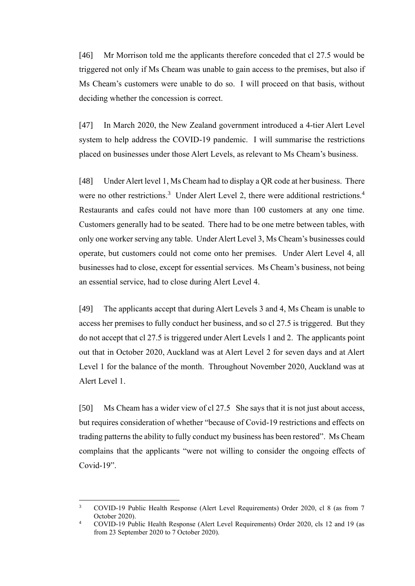[46] Mr Morrison told me the applicants therefore conceded that cl 27.5 would be triggered not only if Ms Cheam was unable to gain access to the premises, but also if Ms Cheam's customers were unable to do so. I will proceed on that basis, without deciding whether the concession is correct.

[47] In March 2020, the New Zealand government introduced a 4-tier Alert Level system to help address the COVID-19 pandemic. I will summarise the restrictions placed on businesses under those Alert Levels, as relevant to Ms Cheam's business.

[48] Under Alert level 1, Ms Cheam had to display a QR code at her business. There were no other restrictions.<sup>3</sup> Under Alert Level 2, there were additional restrictions.<sup>4</sup> Restaurants and cafes could not have more than 100 customers at any one time. Customers generally had to be seated. There had to be one metre between tables, with only one worker serving any table. Under Alert Level 3, Ms Cheam's businesses could operate, but customers could not come onto her premises. Under Alert Level 4, all businesses had to close, except for essential services. Ms Cheam's business, not being an essential service, had to close during Alert Level 4.

[49] The applicants accept that during Alert Levels 3 and 4, Ms Cheam is unable to access her premises to fully conduct her business, and so cl 27.5 is triggered. But they do not accept that cl 27.5 is triggered under Alert Levels 1 and 2. The applicants point out that in October 2020, Auckland was at Alert Level 2 for seven days and at Alert Level 1 for the balance of the month. Throughout November 2020, Auckland was at Alert Level 1.

[50] Ms Cheam has a wider view of cl 27.5 She says that it is not just about access, but requires consideration of whether "because of Covid-19 restrictions and effects on trading patterns the ability to fully conduct my business has been restored". Ms Cheam complains that the applicants "were not willing to consider the ongoing effects of Covid-19".

<sup>3</sup> COVID-19 Public Health Response (Alert Level Requirements) Order 2020, cl 8 (as from 7 October 2020).

<sup>4</sup> COVID-19 Public Health Response (Alert Level Requirements) Order 2020, cls 12 and 19 (as from 23 September 2020 to 7 October 2020).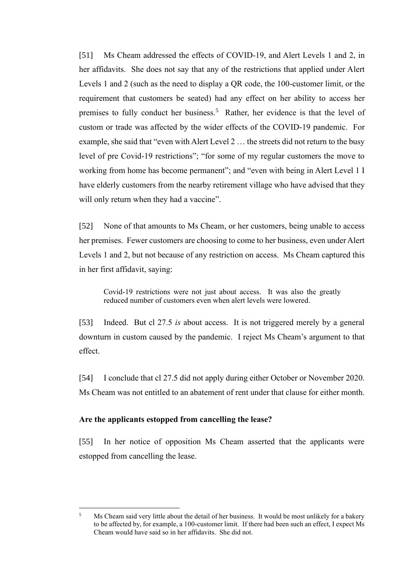[51] Ms Cheam addressed the effects of COVID-19, and Alert Levels 1 and 2, in her affidavits. She does not say that any of the restrictions that applied under Alert Levels 1 and 2 (such as the need to display a QR code, the 100-customer limit, or the requirement that customers be seated) had any effect on her ability to access her premises to fully conduct her business.<sup>5</sup> Rather, her evidence is that the level of custom or trade was affected by the wider effects of the COVID-19 pandemic. For example, she said that "even with Alert Level 2 … the streets did not return to the busy level of pre Covid-19 restrictions"; "for some of my regular customers the move to working from home has become permanent"; and "even with being in Alert Level 1 I have elderly customers from the nearby retirement village who have advised that they will only return when they had a vaccine".

[52] None of that amounts to Ms Cheam, or her customers, being unable to access her premises. Fewer customers are choosing to come to her business, even under Alert Levels 1 and 2, but not because of any restriction on access. Ms Cheam captured this in her first affidavit, saying:

Covid-19 restrictions were not just about access. It was also the greatly reduced number of customers even when alert levels were lowered.

[53] Indeed. But cl 27.5 *is* about access. It is not triggered merely by a general downturn in custom caused by the pandemic. I reject Ms Cheam's argument to that effect.

[54] I conclude that cl 27.5 did not apply during either October or November 2020. Ms Cheam was not entitled to an abatement of rent under that clause for either month.

#### **Are the applicants estopped from cancelling the lease?**

[55] In her notice of opposition Ms Cheam asserted that the applicants were estopped from cancelling the lease.

<sup>&</sup>lt;sup>5</sup> Ms Cheam said very little about the detail of her business. It would be most unlikely for a bakery to be affected by, for example, a 100-customer limit. If there had been such an effect, I expect Ms Cheam would have said so in her affidavits. She did not.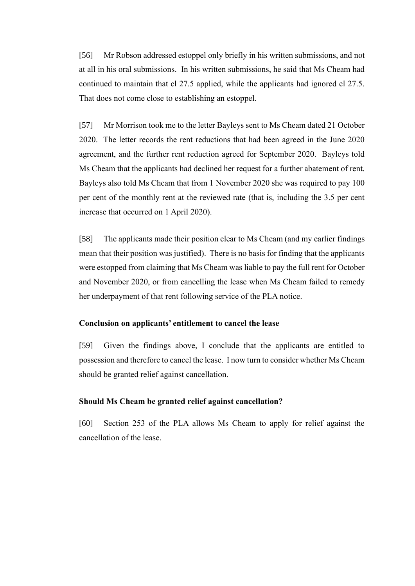[56] Mr Robson addressed estoppel only briefly in his written submissions, and not at all in his oral submissions. In his written submissions, he said that Ms Cheam had continued to maintain that cl 27.5 applied, while the applicants had ignored cl 27.5. That does not come close to establishing an estoppel.

[57] Mr Morrison took me to the letter Bayleys sent to Ms Cheam dated 21 October 2020. The letter records the rent reductions that had been agreed in the June 2020 agreement, and the further rent reduction agreed for September 2020. Bayleys told Ms Cheam that the applicants had declined her request for a further abatement of rent. Bayleys also told Ms Cheam that from 1 November 2020 she was required to pay 100 per cent of the monthly rent at the reviewed rate (that is, including the 3.5 per cent increase that occurred on 1 April 2020).

[58] The applicants made their position clear to Ms Cheam (and my earlier findings mean that their position was justified). There is no basis for finding that the applicants were estopped from claiming that Ms Cheam was liable to pay the full rent for October and November 2020, or from cancelling the lease when Ms Cheam failed to remedy her underpayment of that rent following service of the PLA notice.

### **Conclusion on applicants' entitlement to cancel the lease**

[59] Given the findings above, I conclude that the applicants are entitled to possession and therefore to cancel the lease. I now turn to consider whether Ms Cheam should be granted relief against cancellation.

#### **Should Ms Cheam be granted relief against cancellation?**

[60] Section 253 of the PLA allows Ms Cheam to apply for relief against the cancellation of the lease.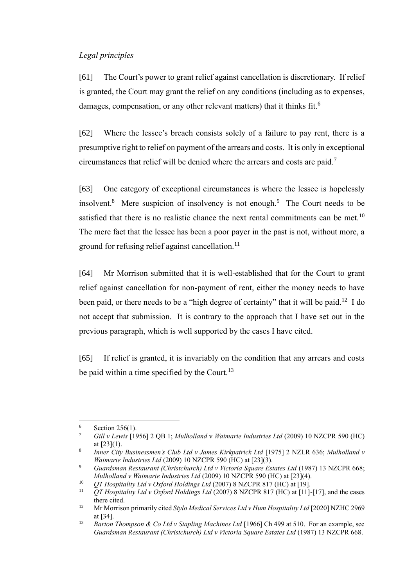## *Legal principles*

[61] The Court's power to grant relief against cancellation is discretionary. If relief is granted, the Court may grant the relief on any conditions (including as to expenses, damages, compensation, or any other relevant matters) that it thinks fit.<sup>6</sup>

[62] Where the lessee's breach consists solely of a failure to pay rent, there is a presumptive right to relief on payment of the arrears and costs. It is only in exceptional circumstances that relief will be denied where the arrears and costs are paid.<sup>7</sup>

[63] One category of exceptional circumstances is where the lessee is hopelessly insolvent.<sup>8</sup> Mere suspicion of insolvency is not enough.<sup>9</sup> The Court needs to be satisfied that there is no realistic chance the next rental commitments can be met.<sup>10</sup> The mere fact that the lessee has been a poor payer in the past is not, without more, a ground for refusing relief against cancellation. $^{11}$ 

[64] Mr Morrison submitted that it is well-established that for the Court to grant relief against cancellation for non-payment of rent, either the money needs to have been paid, or there needs to be a "high degree of certainty" that it will be paid.<sup>12</sup> I do not accept that submission. It is contrary to the approach that I have set out in the previous paragraph, which is well supported by the cases I have cited.

[65] If relief is granted, it is invariably on the condition that any arrears and costs be paid within a time specified by the Court.<sup>13</sup>

 $6$  Section 256(1).

<sup>7</sup> *Gill v Lewis* [1956] 2 QB 1; *Mulholland* v *Waimarie Industries Ltd* (2009) 10 NZCPR 590 (HC) at [23](1).

<sup>8</sup> *Inner City Businessmen's Club Ltd v James Kirkpatrick Ltd* [1975] 2 NZLR 636; *Mulholland v Waimarie Industries Ltd* (2009) 10 NZCPR 590 (HC) at [23](3).

<sup>9</sup> *Guardsman Restaurant (Christchurch) Ltd v Victoria Square Estates Ltd* (1987) 13 NZCPR 668; *Mulholland v Waimarie Industries Ltd* (2009) 10 NZCPR 590 (HC) at [23](4).

<sup>10</sup> *QT Hospitality Ltd v Oxford Holdings Ltd* (2007) 8 NZCPR 817 (HC) at [19].

<sup>11</sup> *QT Hospitality Ltd v Oxford Holdings Ltd* (2007) 8 NZCPR 817 (HC) at [11]-[17], and the cases there cited.

<sup>12</sup> Mr Morrison primarily cited *Stylo Medical Services Ltd v Hum Hospitality Ltd* [2020] NZHC 2969 at [34].

<sup>13</sup> *Barton Thompson & Co Ltd v Stapling Machines Ltd* [1966] Ch 499 at 510. For an example, see *Guardsman Restaurant (Christchurch) Ltd v Victoria Square Estates Ltd* (1987) 13 NZCPR 668.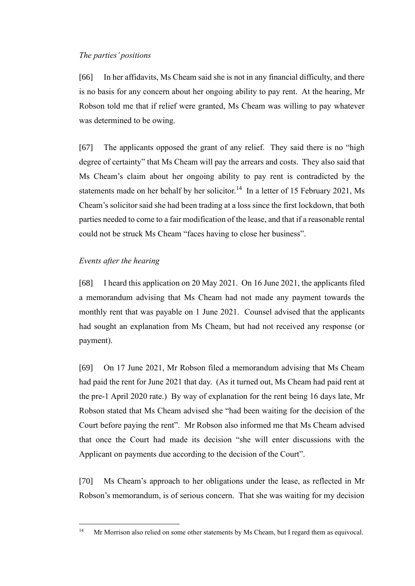### *The parties' positions*

[66] In her affidavits, Ms Cheam said she is not in any financial difficulty, and there is no basis for any concern about her ongoing ability to pay rent. At the hearing, Mr Robson told me that if relief were granted, Ms Cheam was willing to pay whatever was determined to be owing.

[67] The applicants opposed the grant of any relief. They said there is no "high degree of certainty" that Ms Cheam will pay the arrears and costs. They also said that Ms Cheam's claim about her ongoing ability to pay rent is contradicted by the statements made on her behalf by her solicitor.<sup>14</sup> In a letter of 15 February 2021, Ms Cheam's solicitor said she had been trading at a loss since the first lockdown, that both parties needed to come to a fair modification of the lease, and that if a reasonable rental could not be struck Ms Cheam "faces having to close her business".

#### *Events after the hearing*

[68] I heard this application on 20 May 2021. On 16 June 2021, the applicants filed a memorandum advising that Ms Cheam had not made any payment towards the monthly rent that was payable on 1 June 2021. Counsel advised that the applicants had sought an explanation from Ms Cheam, but had not received any response (or payment).

[69] On 17 June 2021, Mr Robson filed a memorandum advising that Ms Cheam had paid the rent for June 2021 that day. (As it turned out, Ms Cheam had paid rent at the pre-1 April 2020 rate.) By way of explanation for the rent being 16 days late, Mr Robson stated that Ms Cheam advised she "had been waiting for the decision of the Court before paying the rent". Mr Robson also informed me that Ms Cheam advised that once the Court had made its decision "she will enter discussions with the Applicant on payments due according to the decision of the Court".

[70] Ms Cheam's approach to her obligations under the lease, as reflected in Mr Robson's memorandum, is of serious concern. That she was waiting for my decision

<sup>&</sup>lt;sup>14</sup> Mr Morrison also relied on some other statements by Ms Cheam, but I regard them as equivocal.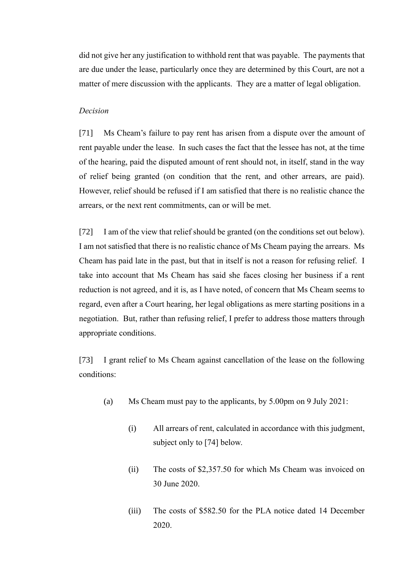did not give her any justification to withhold rent that was payable. The payments that are due under the lease, particularly once they are determined by this Court, are not a matter of mere discussion with the applicants. They are a matter of legal obligation.

#### *Decision*

[71] Ms Cheam's failure to pay rent has arisen from a dispute over the amount of rent payable under the lease. In such cases the fact that the lessee has not, at the time of the hearing, paid the disputed amount of rent should not, in itself, stand in the way of relief being granted (on condition that the rent, and other arrears, are paid). However, relief should be refused if I am satisfied that there is no realistic chance the arrears, or the next rent commitments, can or will be met.

[72] I am of the view that relief should be granted (on the conditions set out below). I am not satisfied that there is no realistic chance of Ms Cheam paying the arrears. Ms Cheam has paid late in the past, but that in itself is not a reason for refusing relief. I take into account that Ms Cheam has said she faces closing her business if a rent reduction is not agreed, and it is, as I have noted, of concern that Ms Cheam seems to regard, even after a Court hearing, her legal obligations as mere starting positions in a negotiation. But, rather than refusing relief, I prefer to address those matters through appropriate conditions.

[73] I grant relief to Ms Cheam against cancellation of the lease on the following conditions:

- (a) Ms Cheam must pay to the applicants, by 5.00pm on 9 July 2021:
	- (i) All arrears of rent, calculated in accordance with this judgment, subject only to [74] below.
	- (ii) The costs of \$2,357.50 for which Ms Cheam was invoiced on 30 June 2020.
	- (iii) The costs of \$582.50 for the PLA notice dated 14 December 2020.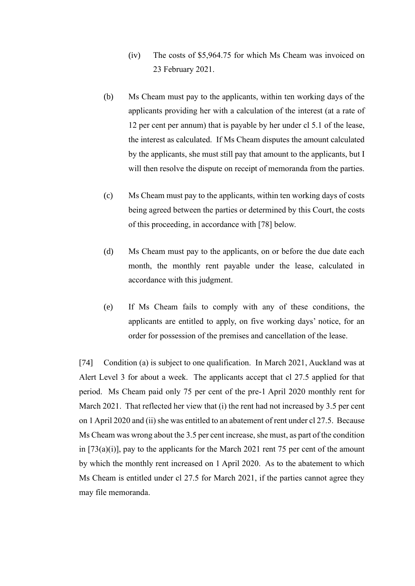- (iv) The costs of \$5,964.75 for which Ms Cheam was invoiced on 23 February 2021.
- (b) Ms Cheam must pay to the applicants, within ten working days of the applicants providing her with a calculation of the interest (at a rate of 12 per cent per annum) that is payable by her under cl 5.1 of the lease, the interest as calculated. If Ms Cheam disputes the amount calculated by the applicants, she must still pay that amount to the applicants, but I will then resolve the dispute on receipt of memoranda from the parties.
- (c) Ms Cheam must pay to the applicants, within ten working days of costs being agreed between the parties or determined by this Court, the costs of this proceeding, in accordance with [78] below.
- (d) Ms Cheam must pay to the applicants, on or before the due date each month, the monthly rent payable under the lease, calculated in accordance with this judgment.
- (e) If Ms Cheam fails to comply with any of these conditions, the applicants are entitled to apply, on five working days' notice, for an order for possession of the premises and cancellation of the lease.

[74] Condition (a) is subject to one qualification. In March 2021, Auckland was at Alert Level 3 for about a week. The applicants accept that cl 27.5 applied for that period. Ms Cheam paid only 75 per cent of the pre-1 April 2020 monthly rent for March 2021. That reflected her view that (i) the rent had not increased by 3.5 per cent on 1 April 2020 and (ii) she was entitled to an abatement of rent under cl 27.5. Because Ms Cheam was wrong about the 3.5 per cent increase, she must, as part of the condition in  $[73(a)(i)]$ , pay to the applicants for the March 2021 rent 75 per cent of the amount by which the monthly rent increased on 1 April 2020. As to the abatement to which Ms Cheam is entitled under cl 27.5 for March 2021, if the parties cannot agree they may file memoranda.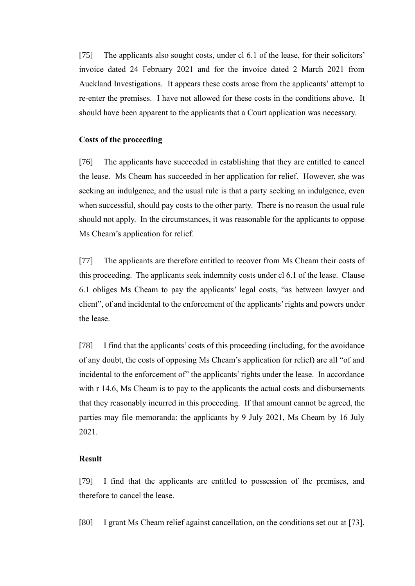[75] The applicants also sought costs, under cl 6.1 of the lease, for their solicitors' invoice dated 24 February 2021 and for the invoice dated 2 March 2021 from Auckland Investigations. It appears these costs arose from the applicants' attempt to re-enter the premises. I have not allowed for these costs in the conditions above. It should have been apparent to the applicants that a Court application was necessary.

#### **Costs of the proceeding**

[76] The applicants have succeeded in establishing that they are entitled to cancel the lease. Ms Cheam has succeeded in her application for relief. However, she was seeking an indulgence, and the usual rule is that a party seeking an indulgence, even when successful, should pay costs to the other party. There is no reason the usual rule should not apply. In the circumstances, it was reasonable for the applicants to oppose Ms Cheam's application for relief.

[77] The applicants are therefore entitled to recover from Ms Cheam their costs of this proceeding. The applicants seek indemnity costs under cl 6.1 of the lease. Clause 6.1 obliges Ms Cheam to pay the applicants' legal costs, "as between lawyer and client", of and incidental to the enforcement of the applicants' rights and powers under the lease.

[78] I find that the applicants' costs of this proceeding (including, for the avoidance of any doubt, the costs of opposing Ms Cheam's application for relief) are all "of and incidental to the enforcement of" the applicants' rights under the lease. In accordance with r 14.6, Ms Cheam is to pay to the applicants the actual costs and disbursements that they reasonably incurred in this proceeding. If that amount cannot be agreed, the parties may file memoranda: the applicants by 9 July 2021, Ms Cheam by 16 July 2021.

#### **Result**

[79] I find that the applicants are entitled to possession of the premises, and therefore to cancel the lease.

[80] I grant Ms Cheam relief against cancellation, on the conditions set out at [73].